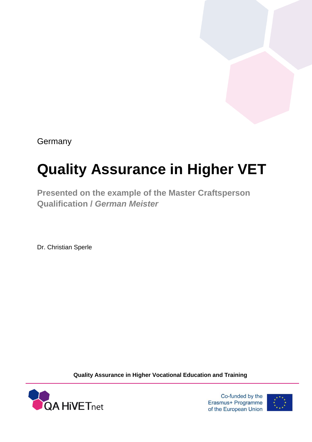**Germany** 

# **Quality Assurance in Higher VET**

**Presented on the example of the Master Craftsperson Qualification /** *German Meister*

Dr. Christian Sperle

**Quality Assurance in Higher Vocational Education and Training**



Co-funded by the Erasmus+ Programme of the European Union

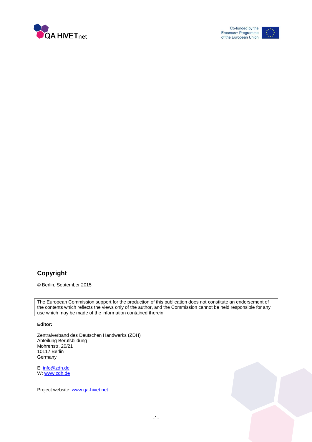



#### **Copyright**

© Berlin, September 2015

The European Commission support for the production of this publication does not constitute an endorsement of the contents which reflects the views only of the author, and the Commission cannot be held responsible for any use which may be made of the information contained therein.

#### **Editor:**

Zentralverband des Deutschen Handwerks (ZDH) Abteilung Berufsbildung Mohrenstr. 20/21 10117 Berlin Germany

E: [info@zdh.de](mailto:info@zdh.de) W[: www.zdh.de](http://www.zdh.de/)

Project website: [www.qa-hivet.net](http://www.qa-hivet.net/)

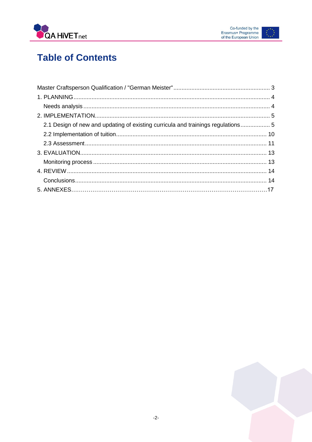



# **Table of Contents**

| 2.1 Design of new and updating of existing curricula and trainings regulations5 |  |
|---------------------------------------------------------------------------------|--|
|                                                                                 |  |
|                                                                                 |  |
|                                                                                 |  |
|                                                                                 |  |
|                                                                                 |  |
|                                                                                 |  |
|                                                                                 |  |

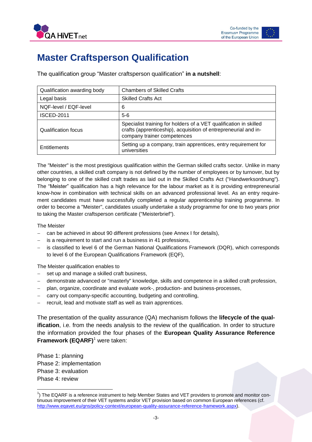

### <span id="page-3-0"></span>**Master Craftsperson Qualification**

The qualification group "Master craftsperson qualification" **in a nutshell**:

| Qualification awarding body | <b>Chambers of Skilled Crafts</b>                                                                                                                                   |
|-----------------------------|---------------------------------------------------------------------------------------------------------------------------------------------------------------------|
| Legal basis                 | <b>Skilled Crafts Act</b>                                                                                                                                           |
| NQF-level / EQF-level       | 6                                                                                                                                                                   |
| <b>ISCED-2011</b>           | $5-6$                                                                                                                                                               |
| Qualification focus         | Specialist training for holders of a VET qualification in skilled<br>crafts (apprenticeship), acquisition of entrepreneurial and in-<br>company trainer competences |
| <b>Entitlements</b>         | Setting up a company, train apprentices, entry requirement for<br>universities                                                                                      |

The "Meister" is the most prestigious qualification within the German skilled crafts sector. Unlike in many other countries, a skilled craft company is not defined by the number of employees or by turnover, but by belonging to one of the skilled craft trades as laid out in the Skilled Crafts Act ("Handwerksordnung"). The "Meister" qualification has a high relevance for the labour market as it is providing entrepreneurial know-how in combination with technical skills on an advanced professional level. As an entry requirement candidates must have successfully completed a regular apprenticeship training programme. In order to become a "Meister", candidates usually undertake a study programme for one to two years prior to taking the Master craftsperson certificate ("Meisterbrief").

The Meister

- can be achieved in about 90 different professions (see Annex I for details),
- is a requirement to start and run a business in 41 professions,
- is classified to level 6 of the German National Qualifications Framework (DQR), which corresponds to level 6 of the European Qualifications Framework (EQF),

The Meister qualification enables to

- set up and manage a skilled craft business,
- demonstrate advanced or "masterly" knowledge, skills and competence in a skilled craft profession,
- plan, organize, coordinate and evaluate work-, production- and business-processes,
- carry out company-specific accounting, budgeting and controlling,
- recruit, lead and motivate staff as well as train apprentices.

The presentation of the quality assurance (QA) mechanism follows the **lifecycle of the qualification**, i.e. from the needs analysis to the review of the qualification. In order to structure the information provided the four phases of the **European Quality Assurance Reference Framework (EQARF)<sup>1</sup> were taken:** 

Phase 1: planning Phase 2: implementation Phase 3: evaluation Phase 4: review

 $\overline{a}$ 

<sup>&</sup>lt;sup>1</sup>) The EQARF is a reference instrument to help Member States and VET providers to promote and monitor continuous improvement of their VET systems and/or VET provision based on common European references (cf. [http://www.eqavet.eu/gns/policy-context/european-quality-assurance-reference-framework.aspx\)](http://www.eqavet.eu/gns/policy-context/european-quality-assurance-reference-framework.aspx).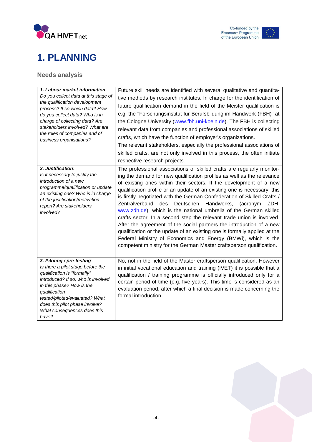



# <span id="page-4-0"></span>**1. PLANNING**

<span id="page-4-1"></span>**Needs analysis**

| 1. Labour market information:<br>Do you collect data at this stage of<br>the qualification development<br>process? If so which data? How<br>do you collect data? Who is in<br>charge of collecting data? Are<br>stakeholders involved? What are<br>the roles of companies and of<br>business organisations? | Future skill needs are identified with several qualitative and quantita-<br>tive methods by research institutes. In charge for the identification of<br>future qualification demand in the field of the Meister qualification is<br>e.g. the "Forschungsinstitut für Berufsbildung im Handwerk (FBH)" at<br>the Cologne University (www.fbh.uni-koeln.de). The FBH is collecting<br>relevant data from companies and professional associations of skilled<br>crafts, which have the function of employer's organizations.<br>The relevant stakeholders, especially the professional associations of                                                                                                                                                                                                                                                                                               |
|-------------------------------------------------------------------------------------------------------------------------------------------------------------------------------------------------------------------------------------------------------------------------------------------------------------|---------------------------------------------------------------------------------------------------------------------------------------------------------------------------------------------------------------------------------------------------------------------------------------------------------------------------------------------------------------------------------------------------------------------------------------------------------------------------------------------------------------------------------------------------------------------------------------------------------------------------------------------------------------------------------------------------------------------------------------------------------------------------------------------------------------------------------------------------------------------------------------------------|
|                                                                                                                                                                                                                                                                                                             | skilled crafts, are not only involved in this process, the often initiate<br>respective research projects.                                                                                                                                                                                                                                                                                                                                                                                                                                                                                                                                                                                                                                                                                                                                                                                        |
| 2. Justification:<br>Is it necessary to justify the<br>introduction of a new<br>programme/qualification or update<br>an existing one? Who is in charge<br>of the justification/motivation<br>report? Are stakeholders<br>involved?                                                                          | The professional associations of skilled crafts are regularly monitor-<br>ing the demand for new qualification profiles as well as the relevance<br>of existing ones within their sectors. If the development of a new<br>qualification profile or an update of an existing one is necessary, this<br>is firstly negotiated with the German Confederation of Skilled Crafts /<br>Zentralverband<br>des<br>Deutschen<br>Handwerks,<br>ZDH,<br>(acronym<br>www.zdh.de), which is the national umbrella of the German skilled<br>crafts sector. In a second step the relevant trade union is involved.<br>After the agreement of the social partners the introduction of a new<br>qualification or the update of an existing one is formally applied at the<br>Federal Ministry of Economics and Energy (BMWi), which is the<br>competent ministry for the German Master craftsperson qualification. |
| 3. Piloting / pre-testing:<br>Is there a pilot stage before the<br>qualification is "formally"<br>introduced? If so, who is involved<br>in this phase? How is the<br>qualification<br>tested/piloted/evaluated? What<br>does this pilot phase involve?<br>What consequences does this<br>have?              | No, not in the field of the Master craftsperson qualification. However<br>in initial vocational education and training (IVET) it is possible that a<br>qualification / training programme is officially introduced only for a<br>certain period of time (e.g. five years). This time is considered as an<br>evaluation period, after which a final decision is made concerning the<br>formal introduction.                                                                                                                                                                                                                                                                                                                                                                                                                                                                                        |

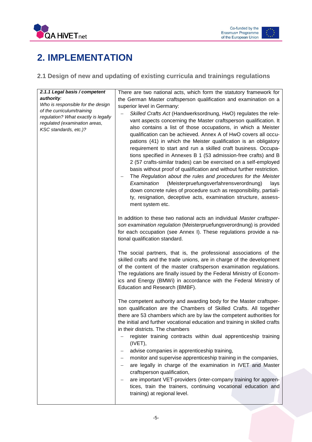



## <span id="page-5-0"></span>**2. IMPLEMENTATION**

<span id="page-5-1"></span>**2.1 Design of new and updating of existing curricula and trainings regulations**

| 2.1.1 Legal basis / competent<br>authority:<br>Who is responsible for the design<br>of the curriculum/training<br>regulation? What exactly is legally<br>regulated (examination areas,<br>KSC standards, etc.)? | There are two national acts, which form the statutory framework for<br>the German Master craftsperson qualification and examination on a<br>superior level in Germany:<br>Skilled Crafts Act (Handwerksordnung, HwO) regulates the rele-<br>vant aspects concerning the Master craftsperson qualification. It<br>also contains a list of those occupations, in which a Meister<br>qualification can be achieved. Annex A of HwO covers all occu-<br>pations (41) in which the Meister qualification is an obligatory<br>requirement to start and run a skilled craft business. Occupa-<br>tions specified in Annexes B 1 (53 admission-free crafts) and B<br>2 (57 crafts-similar trades) can be exercised on a self-employed<br>basis without proof of qualification and without further restriction.<br>The Regulation about the rules and procedures for the Meister<br>Examination<br>(Meisterpruefungsverfahrensverordnung)<br>lays<br>down concrete rules of procedure such as responsibility, partiali-<br>ty, resignation, deceptive acts, examination structure, assess-<br>ment system etc. |
|-----------------------------------------------------------------------------------------------------------------------------------------------------------------------------------------------------------------|-------------------------------------------------------------------------------------------------------------------------------------------------------------------------------------------------------------------------------------------------------------------------------------------------------------------------------------------------------------------------------------------------------------------------------------------------------------------------------------------------------------------------------------------------------------------------------------------------------------------------------------------------------------------------------------------------------------------------------------------------------------------------------------------------------------------------------------------------------------------------------------------------------------------------------------------------------------------------------------------------------------------------------------------------------------------------------------------------------|
|                                                                                                                                                                                                                 | In addition to these two national acts an individual Master craftsper-<br>son examination regulation (Meisterpruefungsverordnung) is provided<br>for each occupation (see Annex I). These regulations provide a na-<br>tional qualification standard.<br>The social partners, that is, the professional associations of the<br>skilled crafts and the trade unions, are in charge of the development<br>of the content of the master craftsperson examination regulations.<br>The regulations are finally issued by the Federal Ministry of Econom-                                                                                                                                                                                                                                                                                                                                                                                                                                                                                                                                                   |
|                                                                                                                                                                                                                 | ics and Energy (BMWi) in accordance with the Federal Ministry of<br>Education and Research (BMBF).<br>The competent authority and awarding body for the Master craftsper-<br>son qualification are the Chambers of Skilled Crafts. All together<br>there are 53 chambers which are by law the competent authorities for<br>the initial and further vocational education and training in skilled crafts<br>in their districts. The chambers<br>register training contracts within dual apprenticeship training<br>(IVET),<br>advise companies in apprenticeship training,<br>monitor and supervise apprenticeship training in the companies,<br>are legally in charge of the examination in IVET and Master<br>craftsperson qualification,<br>are important VET-providers (inter-company training for appren-<br>tices, train the trainers, continuing vocational education and<br>training) at regional level.                                                                                                                                                                                        |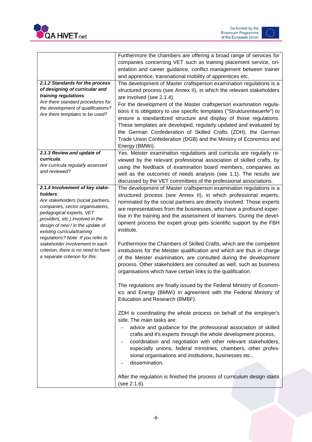



|                                                                       | Furthermore the chambers are offering a broad range of services for       |
|-----------------------------------------------------------------------|---------------------------------------------------------------------------|
|                                                                       | companies concerning VET such as training placement service, ori-         |
|                                                                       | entation and career guidance, conflict management between trainer         |
|                                                                       | and apprentice, transnational mobility of apprentices etc.                |
| 2.1.2 Standards for the process                                       | The development of Master craftsperson examination regulations is a       |
| of designing of curricular and                                        | structured process (see Annex II), in which the relevant stakeholders     |
| training regulations:                                                 | are involved (see 2.1.4).                                                 |
| Are there standard procedures for                                     | For the development of the Master craftsperson examination regula-        |
| the development of qualifications?                                    | tions it is obligatory to use specific templates ("Strukturentwuerfe") to |
| Are there templates to be used?                                       | ensure a standardized structure and display of those regulations.         |
|                                                                       | These templates are developed, regularly updated and evaluated by         |
|                                                                       | the German Confederation of Skilled Crafts (ZDH), the German              |
|                                                                       | Trade Union Confederation (DGB) and the Ministry of Economics and         |
|                                                                       | Energy (BMWi).                                                            |
| 2.1.3 Review and update of                                            | Yes. Meister examination regulations and curricula are regularly re-      |
| curricula:                                                            | viewed by the relevant professional association of skilled crafts, by     |
| Are curricula regularly assessed                                      | using the feedback of examination board members, companies as             |
| and reviewed?                                                         | well as the outcomes of needs analysis (see 1.1). The results are         |
|                                                                       | discussed by the VET committees of the professional associations.         |
| 2.1.4 Involvement of key stake-                                       | The development of Master craftsperson examination regulations is a       |
| holders:                                                              | structured process (see Annex II), in which professional experts,         |
| Are stakeholders (social partners,                                    | nominated by the social partners are directly involved. Those experts     |
| companies, sector organisations,                                      | are representatives from the businesses, who have a profound exper-       |
| pedagogical experts, VET                                              | tise in the training and the assessment of learners. During the devel-    |
| providers, etc.) involved in the                                      | opment process the expert group gets scientific support by the FBH        |
| design of new / in the update of                                      | institute.                                                                |
| existing curricula/training                                           |                                                                           |
| regulations? Note: If you refer to<br>stakeholder involvement in each | Furthermore the Chambers of Skilled Crafts, which are the competent       |
| criterion, there is no need to have                                   | institutions for the Meister qualification and which are thus in charge   |
| a separate criterion for this.                                        | of the Meister examination, are consulted during the development          |
|                                                                       | process. Other stakeholders are consulted as well, such as business       |
|                                                                       | organisations which have certain links to the qualification.              |
|                                                                       |                                                                           |
|                                                                       | The regulations are finally issued by the Federal Ministry of Econom-     |
|                                                                       | ics and Energy (BMWi) in agreement with the Federal Ministry of           |
|                                                                       | Education and Research (BMBF).                                            |
|                                                                       |                                                                           |
|                                                                       | ZDH is coordinating the whole process on behalf of the employer's         |
|                                                                       | side. The main tasks are:                                                 |
|                                                                       |                                                                           |
|                                                                       | advice and guidance for the professional association of skilled           |
|                                                                       | crafts and it's experts through the whole development process,            |
|                                                                       | coordination and negotiation with other relevant stakeholders,            |
|                                                                       | especially unions, federal ministries, chambers, other profes-            |
|                                                                       | sional organisations and institutions, businesses etc.,                   |
|                                                                       | dissemination.                                                            |
|                                                                       |                                                                           |
|                                                                       | After the regulation is finished the process of curriculum design starts  |
|                                                                       | (see 2.1.6).                                                              |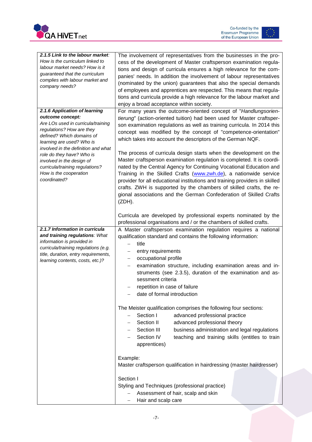



| 2.1.5 Link to the labour market:<br>How is the curriculum linked to<br>labour market needs? How is it<br>guaranteed that the curriculum<br>complies with labour market and<br>company needs?                                                                                                                                                                 | The involvement of representatives from the businesses in the pro-<br>cess of the development of Master craftsperson examination regula-<br>tions and design of curricula ensures a high relevance for the com-<br>panies' needs. In addition the involvement of labour representatives<br>(nominated by the union) guarantees that also the special demands<br>of employees and apprentices are respected. This means that regula-<br>tions and curricula provide a high relevance for the labour market and<br>enjoy a broad acceptance within society.                                                                                                                                                                                                                                                                                                                                |
|--------------------------------------------------------------------------------------------------------------------------------------------------------------------------------------------------------------------------------------------------------------------------------------------------------------------------------------------------------------|------------------------------------------------------------------------------------------------------------------------------------------------------------------------------------------------------------------------------------------------------------------------------------------------------------------------------------------------------------------------------------------------------------------------------------------------------------------------------------------------------------------------------------------------------------------------------------------------------------------------------------------------------------------------------------------------------------------------------------------------------------------------------------------------------------------------------------------------------------------------------------------|
| 2.1.6 Application of learning<br>outcome concept:<br>Are LOs used in curricula/training<br>regulations? How are they<br>defined? Which domains of<br>learning are used? Who is<br>involved in the definition and what<br>role do they have? Who is<br>involved in the design of<br>curricula/training regulations?<br>How is the cooperation<br>coordinated? | For many years the outcome-oriented concept of "Handlungsorien-<br>tierung" (action-oriented tuition) had been used for Master craftsper-<br>son examination regulations as well as training curricula. In 2014 this<br>concept was modified by the concept of "competence-orientation"<br>which takes into account the descriptors of the German NQF.<br>The process of curricula design starts when the development on the<br>Master craftsperson examination regulation is completed. It is coordi-<br>nated by the Central Agency for Continuing Vocational Education and<br>Training in the Skilled Crafts (www.zwh.de), a nationwide service<br>provider for all educational institutions and training providers in skilled<br>crafts. ZWH is supported by the chambers of skilled crafts, the re-<br>gional associations and the German Confederation of Skilled Crafts<br>(ZDH). |
|                                                                                                                                                                                                                                                                                                                                                              | Curricula are developed by professional experts nominated by the<br>professional organisations and / or the chambers of skilled crafts.                                                                                                                                                                                                                                                                                                                                                                                                                                                                                                                                                                                                                                                                                                                                                  |
| 2.1.7 Information in curricula<br>and training regulations: What<br>information is provided in<br>curricula/training regulations (e.g.<br>title, duration, entry requirements,<br>learning contents, costs, etc.)?                                                                                                                                           | A Master craftsperson examination regulation requires a national<br>qualification standard and contains the following information:<br>title<br>entry requirements<br>-<br>occupational profile<br>-<br>examination structure, including examination areas and in-<br>-<br>struments (see 2.3.5), duration of the examination and as-<br>sessment criteria<br>repetition in case of failure<br>date of formal introduction<br>The Meister qualification comprises the following four sections:<br>Section I<br>advanced professional practice<br>Section II<br>advanced professional theory<br>business administration and legal regulations<br>Section III<br>Section IV<br>teaching and training skills (entitles to train<br>apprentices)                                                                                                                                              |
|                                                                                                                                                                                                                                                                                                                                                              | Example:<br>Master craftsperson qualification in hairdressing (master hairdresser)                                                                                                                                                                                                                                                                                                                                                                                                                                                                                                                                                                                                                                                                                                                                                                                                       |
|                                                                                                                                                                                                                                                                                                                                                              | Section I<br>Styling and Techniques (professional practice)<br>Assessment of hair, scalp and skin<br>Hair and scalp care                                                                                                                                                                                                                                                                                                                                                                                                                                                                                                                                                                                                                                                                                                                                                                 |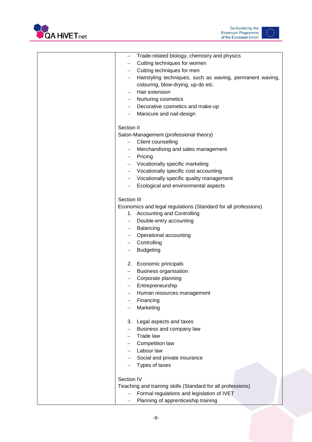





| Trade-related biology, chemistry and physics<br>$\overline{\phantom{0}}$ |
|--------------------------------------------------------------------------|
| Cutting techniques for women<br>$\qquad \qquad -$                        |
| Cutting techniques for men<br>$\qquad \qquad -$                          |
| Hairstyling techniques, such as waving, permanent waving,                |
| colouring, blow-drying, up-do etc.                                       |
| Hair extension<br>$\qquad \qquad -$                                      |
| Nurturing cosmetics                                                      |
| Decorative cosmetics and make-up                                         |
| Manicure and nail-design<br>$\qquad \qquad -$                            |
| Section II                                                               |
| Salon-Management (professional theory)                                   |
|                                                                          |
| Client counselling<br>$-$                                                |
| Merchandising and sales management<br>$\overline{\phantom{0}}$           |
| Pricing<br>$\overline{\phantom{0}}$                                      |
| Vocationally specific marketing<br>$\overline{\phantom{m}}$              |
| Vocationally specific cost accounting<br>$\overline{\phantom{m}}$        |
| Vocationally specific quality management<br>$\qquad \qquad -$            |
| Ecological and environmental aspects<br>$\qquad \qquad -$                |
| Section III                                                              |
| Economics and legal regulations (Standard for all professions)           |
| 1. Accounting and Controlling                                            |
| Double-entry accounting<br>$\overline{\phantom{m}}$                      |
| Balancing<br>$-$                                                         |
| Operational accounting<br>$\qquad \qquad -$                              |
| Controlling<br>$\qquad \qquad -$                                         |
| <b>Budgeting</b><br>$\qquad \qquad -$                                    |
|                                                                          |
| 2. Economic principals                                                   |
| <b>Business organisation</b>                                             |
| Corporate planning                                                       |
| Entrepreneurship                                                         |
| Human resources management                                               |
| Financing                                                                |
| Marketing                                                                |
|                                                                          |
| 3.<br>Legal aspects and taxes                                            |
| Business and company law                                                 |
| Trade law                                                                |
| Competition law                                                          |
| Labour law                                                               |
| Social and private insurance                                             |
| Types of taxes                                                           |
| Section IV                                                               |
| Teaching and training skills (Standard for all professions)              |
| Formal regulations and legislation of IVET                               |
| Planning of apprenticeship training                                      |
|                                                                          |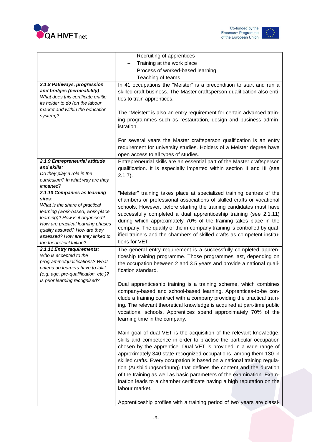





| 2.1.8 Pathways, progression                                                                                                                                                                                                                                                           | Recruiting of apprentices<br>$\qquad \qquad -$<br>Training at the work place<br>$\qquad \qquad -$<br>Process of worked-based learning<br>$\overline{\phantom{m}}$<br>Teaching of teams<br>$\overline{\phantom{m}}$<br>In 41 occupations the "Meister" is a precondition to start and run a                                                                                                                                                                                                                                                                                                                    |
|---------------------------------------------------------------------------------------------------------------------------------------------------------------------------------------------------------------------------------------------------------------------------------------|---------------------------------------------------------------------------------------------------------------------------------------------------------------------------------------------------------------------------------------------------------------------------------------------------------------------------------------------------------------------------------------------------------------------------------------------------------------------------------------------------------------------------------------------------------------------------------------------------------------|
| and bridges (permeability):<br>What does this certificate entitle<br>its holder to do (on the labour<br>market and within the education                                                                                                                                               | skilled craft business. The Master craftsperson qualification also enti-<br>tles to train apprentices.                                                                                                                                                                                                                                                                                                                                                                                                                                                                                                        |
| system)?                                                                                                                                                                                                                                                                              | The "Meister" is also an entry requirement for certain advanced train-<br>ing programmes such as restauration, design and business admin-<br>istration.                                                                                                                                                                                                                                                                                                                                                                                                                                                       |
|                                                                                                                                                                                                                                                                                       | For several years the Master craftsperson qualification is an entry<br>requirement for university studies. Holders of a Meister degree have<br>open access to all types of studies.                                                                                                                                                                                                                                                                                                                                                                                                                           |
| 2.1.9 Entrepreneurial attitude<br>and skills:<br>Do they play a role in the<br>curriculum? In what way are they<br>imparted?                                                                                                                                                          | Entrepreneurial skills are an essential part of the Master craftsperson<br>qualification. It is especially imparted within section II and III (see<br>$2.1.7$ ).                                                                                                                                                                                                                                                                                                                                                                                                                                              |
| 2.1.10 Companies as learning<br>sites:<br>What is the share of practical<br>learning (work-based, work-place<br>learning)? How is it organised?<br>How are practical learning phases<br>quality assured? How are they<br>assessed? How are they linked to<br>the theoretical tuition? | "Meister" training takes place at specialized training centres of the<br>chambers or professional associations of skilled crafts or vocational<br>schools. However, before starting the training candidates must have<br>successfully completed a dual apprenticeship training (see 2.1.11)<br>during which approximately 70% of the training takes place in the<br>company. The quality of the in-company training is controlled by qual-<br>ified trainers and the chambers of skilled crafts as competent institu-<br>tions for VET.                                                                       |
| 2.1.11 Entry requirements:<br>Who is accepted to the<br>programme/qualifications? What<br>criteria do learners have to fulfil<br>(e.g. age, pre-qualification, etc.)?                                                                                                                 | The general entry requirement is a successfully completed appren-<br>ticeship training programme. Those programmes last, depending on<br>the occupation between 2 and 3.5 years and provide a national quali-<br>fication standard.                                                                                                                                                                                                                                                                                                                                                                           |
| Is prior learning recognised?                                                                                                                                                                                                                                                         | Dual apprenticeship training is a training scheme, which combines<br>company-based and school-based learning. Apprentices-to-be con-<br>clude a training contract with a company providing the practical train-<br>ing. The relevant theoretical knowledge is acquired at part-time public<br>vocational schools. Apprentices spend approximately 70% of the<br>learning time in the company.                                                                                                                                                                                                                 |
|                                                                                                                                                                                                                                                                                       | Main goal of dual VET is the acquisition of the relevant knowledge,<br>skills and competence in order to practise the particular occupation<br>chosen by the apprentice. Dual VET is provided in a wide range of<br>approximately 340 state-recognized occupations, among them 130 in<br>skilled crafts. Every occupation is based on a national training regula-<br>tion (Ausbildungsordnung) that defines the content and the duration<br>of the training as well as basic parameters of the examination. Exam-<br>ination leads to a chamber certificate having a high reputation on the<br>labour market. |
|                                                                                                                                                                                                                                                                                       | Apprenticeship profiles with a training period of two years are classi-                                                                                                                                                                                                                                                                                                                                                                                                                                                                                                                                       |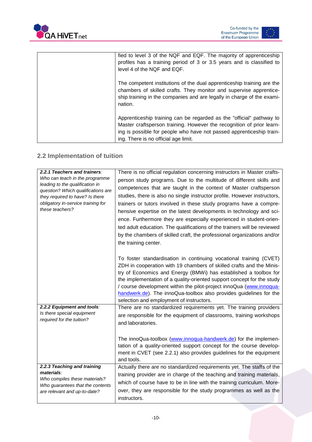





| fied to level 3 of the NQF and EQF. The majority of apprenticeship<br>profiles has a training period of 3 or 3.5 years and is classified to<br>level 4 of the NQF and EQF.                                                                                    |
|---------------------------------------------------------------------------------------------------------------------------------------------------------------------------------------------------------------------------------------------------------------|
| The competent institutions of the dual apprenticeship training are the<br>chambers of skilled crafts. They monitor and supervise apprentice-<br>ship training in the companies and are legally in charge of the exami-<br>nation.                             |
| Apprenticeship training can be regarded as the "official" pathway to<br>Master craftsperson training. However the recognition of prior learn-<br>ing is possible for people who have not passed apprenticeship train-<br>ing. There is no official age limit. |

#### <span id="page-10-0"></span>**2.2 Implementation of tuition**

| 2.2.1 Teachers and trainers:                                      | There is no official regulation concerning instructors in Master crafts-                                       |
|-------------------------------------------------------------------|----------------------------------------------------------------------------------------------------------------|
| Who can teach in the programme<br>leading to the qualification in | person study programs. Due to the multitude of different skills and                                            |
| question? Which qualifications are                                | competences that are taught in the context of Master craftsperson                                              |
| they required to have? Is there                                   | studies, there is also no single instructor profile. However instructors,                                      |
| obligatory in-service training for                                | trainers or tutors involved in these study programs have a compre-                                             |
| these teachers?                                                   | hensive expertise on the latest developments in technology and sci-                                            |
|                                                                   | ence. Furthermore they are especially experienced in student-orien-                                            |
|                                                                   | ted adult education. The qualifications of the trainers will be reviewed                                       |
|                                                                   | by the chambers of skilled craft, the professional organizations and/or                                        |
|                                                                   | the training center.                                                                                           |
|                                                                   |                                                                                                                |
|                                                                   | To foster standardisation in continuing vocational training (CVET)                                             |
|                                                                   | ZDH in cooperation with 19 chambers of skilled crafts and the Minis-                                           |
|                                                                   | try of Economics and Energy (BMWi) has established a toolbox for                                               |
|                                                                   | the implementation of a quality-oriented support concept for the study                                         |
|                                                                   | / course development within the pilot-project innoQua (www.innoqua-                                            |
|                                                                   | handwerk.de). The innoQua-toolbox also provides guidelines for the                                             |
| 2.2.2 Equipment and tools:                                        | selection and employment of instructors.<br>There are no standardized requirements yet. The training providers |
| Is there special equipment                                        | are responsible for the equipment of classrooms, training workshops                                            |
| required for the tuition?                                         | and laboratories.                                                                                              |
|                                                                   |                                                                                                                |
|                                                                   | The innoQua-toolbox (www.innoqua-handwerk.de) for the implemen-                                                |
|                                                                   | tation of a quality-oriented support concept for the course develop-                                           |
|                                                                   | ment in CVET (see 2.2.1) also provides guidelines for the equipment                                            |
|                                                                   | and tools.                                                                                                     |
| 2.2.3 Teaching and training                                       | Actually there are no standardized requirements yet. The staffs of the                                         |
| materials:                                                        | training provider are in charge of the teaching and training materials,                                        |
| Who compiles these materials?                                     | which of course have to be in line with the training curriculum. More-                                         |
| Who guarantees that the contents<br>are relevant and up-to-date?  | over, they are responsible for the study programmes as well as the                                             |
|                                                                   | instructors.                                                                                                   |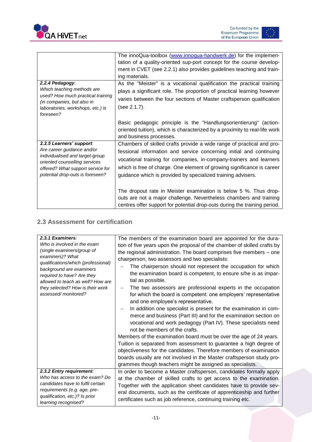



|                                                                                                                                                                                                     | The innoQua-toolbox (www.innoqua-handwerk.de) for the implemen-<br>tation of a quality-oriented sup-port concept for the course develop-<br>ment in CVET (see 2.2.1) also provides guidelines teaching and train-<br>ing materials.                                                                                                                           |
|-----------------------------------------------------------------------------------------------------------------------------------------------------------------------------------------------------|---------------------------------------------------------------------------------------------------------------------------------------------------------------------------------------------------------------------------------------------------------------------------------------------------------------------------------------------------------------|
| 2.2.4 Pedagogy:<br>Which teaching methods are<br>used? How much practical training<br>(in companies, but also in<br>laboratories, workshops, etc.) is<br>foreseen?                                  | As the "Meister" is a vocational qualification the practical training<br>plays a significant role. The proportion of practical learning however<br>varies between the four sections of Master craftsperson qualification<br>(see 2.1.7).                                                                                                                      |
|                                                                                                                                                                                                     | Basic pedagogic principle is the "Handlungsorientierung" (action-<br>oriented tuition), which is characterized by a proximity to real-life work<br>and business processes.                                                                                                                                                                                    |
| 2.2.5 Learners' support:<br>Are career guidance and/or<br>individualised and target-group<br>oriented counselling services<br>offered? What support service for<br>potential drop-outs is foreseen? | Chambers of skilled crafts provide a wide range of practical and pro-<br>fessional information and service concerning initial and continuing<br>vocational training for companies, in-company-trainers and learners<br>which is free of charge. One element of growing significance is career<br>guidance which is provided by specialized training advisers. |
|                                                                                                                                                                                                     | The dropout rate in Meister examination is below 5 %. Thus drop-<br>outs are not a major challenge. Nevertheless chambers and training<br>centres offer support for potential drop-outs during the training period.                                                                                                                                           |

#### <span id="page-11-0"></span>**2.3 Assessment for certification**

| 2.3.1 Examiners:<br>Who is involved in the exam<br>(single examiners/group of<br>examiners)? What<br>qualifications/which (professional)<br>background are examiners<br>required to have? Are they<br>allowed to teach as well? How are | The members of the examination board are appointed for the dura-<br>tion of five years upon the proposal of the chamber of skilled crafts by<br>the regional administration. The board comprises five members - one<br>chairperson, two assessors and two specialists:<br>The chairperson should not represent the occupation for which<br>the examination board is competent, to ensure s/he is as impar-<br>tial as possible.                                                                                                                                                                                                                                                                              |
|-----------------------------------------------------------------------------------------------------------------------------------------------------------------------------------------------------------------------------------------|--------------------------------------------------------------------------------------------------------------------------------------------------------------------------------------------------------------------------------------------------------------------------------------------------------------------------------------------------------------------------------------------------------------------------------------------------------------------------------------------------------------------------------------------------------------------------------------------------------------------------------------------------------------------------------------------------------------|
| they selected? How is their work<br>assessed/monitored?                                                                                                                                                                                 | The two assessors are professional experts in the occupation<br>for which the board is competent: one employers' representative<br>and one employee's representative.<br>In addition one specialist is present for the examination in com-<br>merce and business (Part III) and for the examination section on<br>vocational and work pedagogy (Part IV). These specialists need<br>not be members of the crafts.<br>Members of the examination board must be over the age of 24 years.<br>Tuition is separated from assessment to guarantee a high degree of<br>objectiveness for the candidates. Therefore members of examination<br>boards usually are not involved in the Master craftsperson study pro- |
| 2.3.2 Entry requirement:                                                                                                                                                                                                                | grammes though teachers might be assigned as specialists.<br>In order to become a Master craftsperson, candidates formally apply                                                                                                                                                                                                                                                                                                                                                                                                                                                                                                                                                                             |
| Who has access to the exam? Do<br>candidates have to fulfil certain<br>requirements (e.g. age, pre-<br>qualification, etc.)? Is prior<br>learning recognised?                                                                           | at the chamber of skilled crafts to get access to the examination.<br>Together with the application sheet candidates have to provide sev-<br>eral documents, such as the certificate of apprenticeship and further<br>certificates such as job reference, continuing training etc.                                                                                                                                                                                                                                                                                                                                                                                                                           |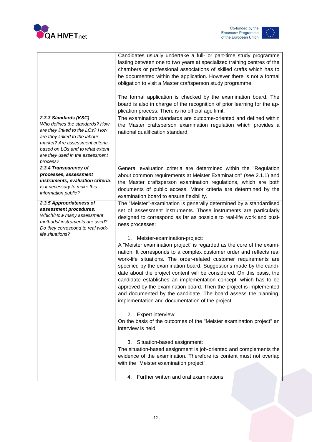



| 2.3.3 Standards (KSC):<br>Who defines the standards? How<br>are they linked to the LOs? How<br>are they linked to the labour<br>market? Are assessment criteria<br>based on LOs and to what extent<br>are they used in the assessment<br>process? | Candidates usually undertake a full- or part-time study programme<br>lasting between one to two years at specialized training centres of the<br>chambers or professional associations of skilled crafts which has to<br>be documented within the application. However there is not a formal<br>obligation to visit a Master craftsperson study programme.<br>The formal application is checked by the examination board. The<br>board is also in charge of the recognition of prior learning for the ap-<br>plication process. There is no official age limit.<br>The examination standards are outcome-oriented and defined within<br>the Master craftsperson examination regulation which provides a<br>national qualification standard.                                                                                                                                                                                                                                                                                                                                                                                                                                                                                                                                                                         |
|---------------------------------------------------------------------------------------------------------------------------------------------------------------------------------------------------------------------------------------------------|--------------------------------------------------------------------------------------------------------------------------------------------------------------------------------------------------------------------------------------------------------------------------------------------------------------------------------------------------------------------------------------------------------------------------------------------------------------------------------------------------------------------------------------------------------------------------------------------------------------------------------------------------------------------------------------------------------------------------------------------------------------------------------------------------------------------------------------------------------------------------------------------------------------------------------------------------------------------------------------------------------------------------------------------------------------------------------------------------------------------------------------------------------------------------------------------------------------------------------------------------------------------------------------------------------------------|
| 2.3.4 Transparency of<br>processes, assessment<br>instruments, evaluation criteria:<br>Is it necessary to make this<br>information public?                                                                                                        | General evaluation criteria are determined within the "Regulation<br>about common requirements at Meister Examination" (see 2.1.1) and<br>the Master craftsperson examination regulations, which are both<br>documents of public access. Minor criteria are determined by the<br>examination board to ensure flexibility.                                                                                                                                                                                                                                                                                                                                                                                                                                                                                                                                                                                                                                                                                                                                                                                                                                                                                                                                                                                          |
| 2.3.5 Appropriateness of<br>assessment procedures:<br>Which/How many assessment<br>methods/instruments are used?<br>Do they correspond to real work-<br>life situations?                                                                          | The "Meister"-examination is generally determined by a standardised<br>set of assessment instruments. Those instruments are particularly<br>designed to correspond as far as possible to real-life work and busi-<br>ness processes:<br>Meister-examination-project:<br>1.<br>A "Meister examination project" is regarded as the core of the exami-<br>nation. It corresponds to a complex customer order and reflects real<br>work-life situations. The order-related customer requirements are<br>specified by the examination board. Suggestions made by the candi-<br>date about the project content will be considered. On this basis, the<br>candidate establishes an implementation concept, which has to be<br>approved by the examination board. Then the project is implemented<br>and documented by the candidate. The board assess the planning,<br>implementation and documentation of the project.<br>2. Expert interview:<br>On the basis of the outcomes of the "Meister examination project" an<br>interview is held.<br>Situation-based assignment:<br>З.<br>The situation-based assignment is job-oriented and complements the<br>evidence of the examination. Therefore its content must not overlap<br>with the "Meister examination project".<br>Further written and oral examinations<br>4. |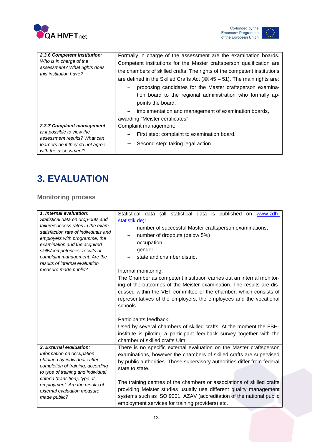



| 2.3.6 Competent institution:<br>Who is in charge of the<br>assessment? What rights does<br>this institution have?                                     | Formally in charge of the assessment are the examination boards.<br>Competent institutions for the Master craftsperson qualification are<br>the chambers of skilled crafts. The rights of the competent institutions<br>are defined in the Skilled Crafts Act ( $\S$ § 45 – 51). The main rights are:<br>proposing candidates for the Master craftsperson examina-<br>tion board to the regional administration who formally ap-<br>points the board,<br>implementation and management of examination boards,<br>awarding "Meister certificates". |
|-------------------------------------------------------------------------------------------------------------------------------------------------------|---------------------------------------------------------------------------------------------------------------------------------------------------------------------------------------------------------------------------------------------------------------------------------------------------------------------------------------------------------------------------------------------------------------------------------------------------------------------------------------------------------------------------------------------------|
| 2.3.7 Complaint management:<br>Is it possible to view the<br>assessment results? What can<br>learners do if they do not agree<br>with the assessment? | Complaint management:<br>First step: complaint to examination board.<br>Second step: taking legal action.                                                                                                                                                                                                                                                                                                                                                                                                                                         |

# <span id="page-13-0"></span>**3. EVALUATION**

#### <span id="page-13-1"></span>**Monitoring process**

| 1. Internal evaluation:              | Statistical data (all statistical data is published on www.zdh-          |
|--------------------------------------|--------------------------------------------------------------------------|
| Statistical data on drop-outs and    | statistik.de):                                                           |
| failure/success rates in the exam,   | number of successful Master craftsperson examinations,                   |
| satisfaction rate of individuals and |                                                                          |
| employers with programme, the        | number of dropouts (below 5%)<br>$\overline{\phantom{m}}$                |
| examination and the acquired         | occupation                                                               |
| skills/competences; results of       | gender<br>$\qquad \qquad -$                                              |
| complaint management. Are the        | state and chamber district                                               |
| results of internal evaluation       |                                                                          |
| measure made public?                 | Internal monitoring:                                                     |
|                                      | The Chamber as competent institution carries out an internal monitor-    |
|                                      | ing of the outcomes of the Meister-examination. The results are dis-     |
|                                      | cussed within the VET-committee of the chamber, which consists of        |
|                                      | representatives of the employers, the employees and the vocational       |
|                                      | schools.                                                                 |
|                                      |                                                                          |
|                                      |                                                                          |
|                                      | Participants feedback:                                                   |
|                                      | Used by several chambers of skilled crafts. At the moment the FBH-       |
|                                      | institute is piloting a participant feedback survey together with the    |
|                                      | chamber of skilled crafts Ulm.                                           |
| 2. External evaluation:              | There is no specific external evaluation on the Master craftsperson      |
| Information on occupation            | examinations, however the chambers of skilled crafts are supervised      |
| obtained by individuals after        | by public authorities. Those supervisory authorities differ from federal |
| completion of training, according    | state to state.                                                          |
| to type of training and individual   |                                                                          |
| criteria (transition), type of       | The training centres of the chambers or associations of skilled crafts   |
| employment. Are the results of       | providing Meister studies usually use different quality management       |
| external evaluation measure          | systems such as ISO 9001, AZAV (accreditation of the national public     |
| made public?                         |                                                                          |
|                                      | employment services for training providers) etc.                         |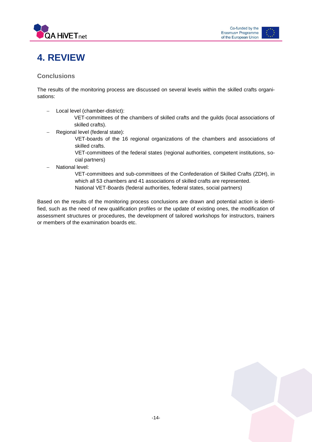



### <span id="page-14-0"></span>**4. REVIEW**

#### <span id="page-14-1"></span>**Conclusions**

The results of the monitoring process are discussed on several levels within the skilled crafts organisations:

- Local level (chamber-district):
	- VET-committees of the chambers of skilled crafts and the guilds (local associations of skilled crafts).
- Regional level (federal state):
	- VET-boards of the 16 regional organizations of the chambers and associations of skilled crafts.
	- VET-committees of the federal states (regional authorities, competent institutions, social partners)
- National level:
	- VET-committees and sub-committees of the Confederation of Skilled Crafts (ZDH), in which all 53 chambers and 41 associations of skilled crafts are represented. National VET-Boards (federal authorities, federal states, social partners)

Based on the results of the monitoring process conclusions are drawn and potential action is identified, such as the need of new qualification profiles or the update of existing ones, the modification of assessment structures or procedures, the development of tailored workshops for instructors, trainers or members of the examination boards etc.

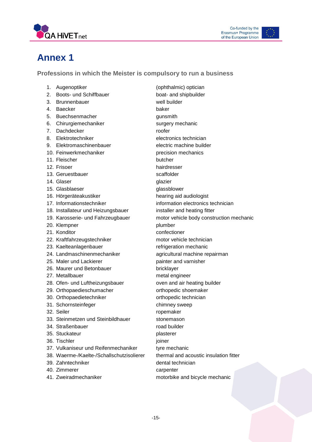

### **Annex 1**

**Professions in which the Meister is compulsory to run a business**

- 
- 2. Boots- und Schiffbauer boat- and shipbuilder
- 3. Brunnenbauer well builder
- 4. Baecker baker baker
- 5. Buechsenmacher **gunsmith**
- 6. Chirurgiemechaniker surgery mechanic
- 7. Dachdecker roofer
- 
- 
- 10. Feinwerkmechaniker precision mechanics
- 11. Fleischer butcher butcher
- 
- 13. Geruestbauer and scaffolder
- 14. Glaser and the contract of the contract of the contract of the contract of the contract of the contract of
- 15. Glasblaeser and the state of the glassblower
- 16. Hörgeräteakustiker hearing aid audiologist
- 
- 18. Installateur und Heizungsbauer installer and heating fitter
- 
- 20. Klempner plumber
- 
- 22. Kraftfahrzeugstechniker motor vehicle technician
- 23. Kaelteanlagenbauer refrigeration mechanic
- 
- 
- 26. Maurer und Betonbauer bricklayer
- 
- 28. Ofen- und Luftheizungsbauer **oven and air heating builder**
- 29. Orthopaedieschumacher **orthopedic** shoemaker
- 30. Orthopaedietechniker orthopedic technician
- 31. Schornsteinfeger chimney sweep
- 
- 33. Steinmetzen und Steinbildhauer stonemason
- 34. Straßenbauer road builder
- 35. Stuckateur plasterer
- 36. Tischler joiner
- 37. Vulkaniseur und Reifenmechaniker tyre mechanic
- 38. Waerme-/Kaelte-/Schallschutzisolierer thermal and acoustic insulation fitter
- 39. Zahntechniker dental technician
- 40. Zimmerer carpenter
- 41. Zweiradmechaniker motorbike and bicycle mechanic

1. Augenoptiker (ophthalmic) optician 8. Elektrotechniker electronics technician 9. Elektromaschinenbauer electric machine builder 12. Frisoer hairdresser 17. Informationstechniker information electronics technician 19. Karosserie- und Fahrzeugbauer motor vehicle body construction mechanic 21. Konditor confectioner 24. Landmaschinenmechaniker agricultural machine repairman 25. Maler und Lackierer **painter and varnisher** painter and varnisher 27. Metallbauer metal engineer 32. Seiler and the ropemaker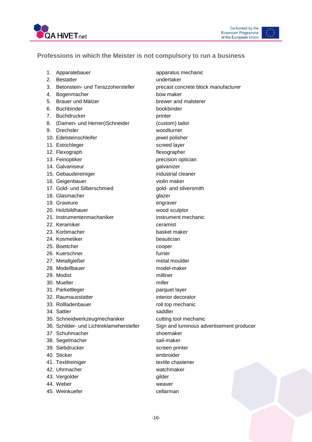



#### **Professions in which the Meister is not compulsory to run a business**

| Apparatebauer<br>1. |
|---------------------|
|---------------------|

- 2. Bestatter undertaker
- 3. Betonstein- und Terazzohersteller precast concrete block manufacturer
- 4. Bogenmacher bow maker
- 5. Brauer und Mälzer brewer and malsterer
- 6. Buchbinder bookbinder
- 7. Buchdrucker printer
- 8. (Damen- und Herren)Schneider (custom) tailor
- 9. Drechsler woodturner
- 10. Edelsteinschleifer in der gewel polisher
- 11. Estrichleger screed layer
- 12. Flexograph **flexographer**
- 
- 14. Galvaniseur **galvanizer** galvanizer
- 15. Gebaudereiniger industrial cleaner
- 16. Geigenbauer violin maker
- 17. Gold- und Silberschmied gold- and silversmith
- 18. Glasmacher glazer
- 19. Graveure engraver
- 
- 21. Instrumentenmachaniker instrument mechanic
- 22. Keramiker ceramist
- 23. Korbmacher basket maker
- 24. Kosmetiker beautician
- 25. Boettcher cooper
- 26. Kuerschner furrier
- 
- 28. Modellbauer model-maker
- 29. Modist milliner
- 30. Mueller miller
- 
- 
- 
- 34. Sattler saddler
- 35. Schneidwerkzeugmechaniker cutting tool mechanic
- 
- 37. Schuhmacher shoemaker
- 38. Segelmacher sail-maker
- 39. Siebdrucker screen printer
- 40. Sticker embroider
- 41. Textilreiniger textile chastener
- 42. Uhrmacher watchmaker
- 43. Vergolder gilder gilder
- 44. Weber weaver
- 45. Weinkuefer **cellarman**

apparatus mechanic 13. Feinoptiker **precision** optician 20. Holzbildhauer wood sculptor 27. Metallgießer metal moulder 31. Parkettleger parquet layer 32. Raumausstatter interior decorator 33. Rollladenbauer roll top mechanic 36. Schilder- und Lichtreklamehersteller Sign and luminous advertisement producer